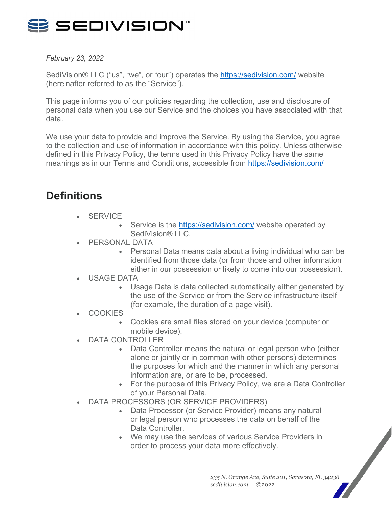

*February 23, 2022*

SediVision® LLC ("us", "we", or "our") operates the<https://sedivision.com/> website (hereinafter referred to as the "Service").

This page informs you of our policies regarding the collection, use and disclosure of personal data when you use our Service and the choices you have associated with that data.

We use your data to provide and improve the Service. By using the Service, you agree to the collection and use of information in accordance with this policy. Unless otherwise defined in this Privacy Policy, the terms used in this Privacy Policy have the same meanings as in our Terms and Conditions, accessible from<https://sedivision.com/>

# **Definitions**

- **SERVICE** 
	- Service is the<https://sedivision.com/> website operated by SediVision® IIC
- PERSONAL DATA
	- Personal Data means data about a living individual who can be identified from those data (or from those and other information either in our possession or likely to come into our possession).
- USAGE DATA
	- Usage Data is data collected automatically either generated by the use of the Service or from the Service infrastructure itself (for example, the duration of a page visit).
- **COOKIES** 
	- Cookies are small files stored on your device (computer or mobile device).
- DATA CONTROLLER
	- Data Controller means the natural or legal person who (either alone or jointly or in common with other persons) determines the purposes for which and the manner in which any personal information are, or are to be, processed.
	- For the purpose of this Privacy Policy, we are a Data Controller of your Personal Data.
- DATA PROCESSORS (OR SERVICE PROVIDERS)
	- Data Processor (or Service Provider) means any natural or legal person who processes the data on behalf of the Data Controller.
	- We may use the services of various Service Providers in order to process your data more effectively.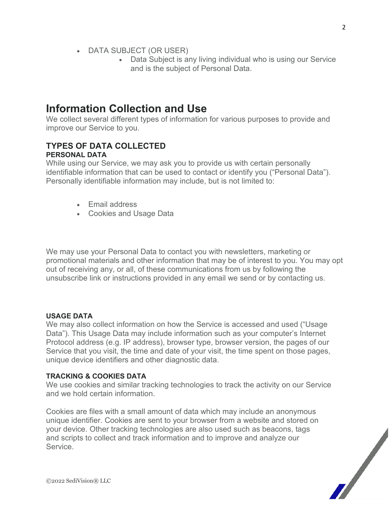- DATA SUBJECT (OR USER)
	- Data Subject is any living individual who is using our Service and is the subject of Personal Data.

### **Information Collection and Use**

We collect several different types of information for various purposes to provide and improve our Service to you.

### **TYPES OF DATA COLLECTED PERSONAL DATA**

While using our Service, we may ask you to provide us with certain personally identifiable information that can be used to contact or identify you ("Personal Data"). Personally identifiable information may include, but is not limited to:

- Email address
- Cookies and Usage Data

We may use your Personal Data to contact you with newsletters, marketing or promotional materials and other information that may be of interest to you. You may opt out of receiving any, or all, of these communications from us by following the unsubscribe link or instructions provided in any email we send or by contacting us.

#### **USAGE DATA**

We may also collect information on how the Service is accessed and used ("Usage Data"). This Usage Data may include information such as your computer's Internet Protocol address (e.g. IP address), browser type, browser version, the pages of our Service that you visit, the time and date of your visit, the time spent on those pages, unique device identifiers and other diagnostic data.

#### **TRACKING & COOKIES DATA**

We use cookies and similar tracking technologies to track the activity on our Service and we hold certain information.

Cookies are files with a small amount of data which may include an anonymous unique identifier. Cookies are sent to your browser from a website and stored on your device. Other tracking technologies are also used such as beacons, tags and scripts to collect and track information and to improve and analyze our Service.

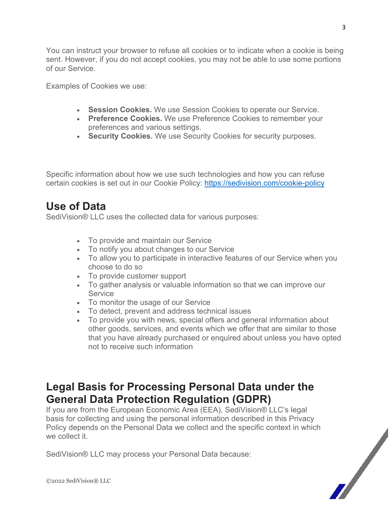You can instruct your browser to refuse all cookies or to indicate when a cookie is being sent. However, if you do not accept cookies, you may not be able to use some portions of our Service.

Examples of Cookies we use:

- **Session Cookies.** We use Session Cookies to operate our Service.
- **Preference Cookies.** We use Preference Cookies to remember your preferences and various settings.
- **Security Cookies.** We use Security Cookies for security purposes.

Specific information about how we use such technologies and how you can refuse certain cookies is set out in our Cookie Policy:<https://sedivision.com/cookie-policy>

## **Use of Data**

SediVision® LLC uses the collected data for various purposes:

- To provide and maintain our Service
- To notify you about changes to our Service
- To allow you to participate in interactive features of our Service when you choose to do so
- To provide customer support
- To gather analysis or valuable information so that we can improve our **Service**
- To monitor the usage of our Service
- To detect, prevent and address technical issues
- To provide you with news, special offers and general information about other goods, services, and events which we offer that are similar to those that you have already purchased or enquired about unless you have opted not to receive such information

## **Legal Basis for Processing Personal Data under the General Data Protection Regulation (GDPR)**

If you are from the European Economic Area (EEA), SediVision® LLC's legal basis for collecting and using the personal information described in this Privacy Policy depends on the Personal Data we collect and the specific context in which we collect it.

SediVision® LLC may process your Personal Data because:



3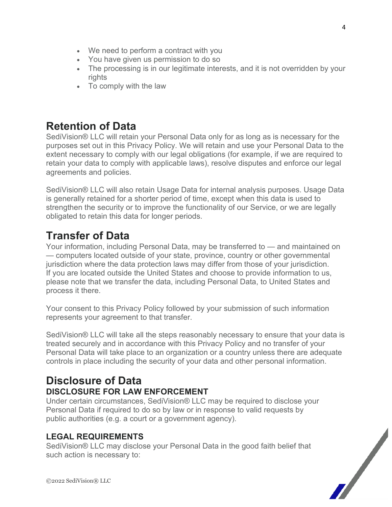- We need to perform a contract with you
- You have given us permission to do so
- The processing is in our legitimate interests, and it is not overridden by your rights
- To comply with the law

# **Retention of Data**

SediVision® LLC will retain your Personal Data only for as long as is necessary for the purposes set out in this Privacy Policy. We will retain and use your Personal Data to the extent necessary to comply with our legal obligations (for example, if we are required to retain your data to comply with applicable laws), resolve disputes and enforce our legal agreements and policies.

SediVision® LLC will also retain Usage Data for internal analysis purposes. Usage Data is generally retained for a shorter period of time, except when this data is used to strengthen the security or to improve the functionality of our Service, or we are legally obligated to retain this data for longer periods.

# **Transfer of Data**

Your information, including Personal Data, may be transferred to — and maintained on — computers located outside of your state, province, country or other governmental jurisdiction where the data protection laws may differ from those of your jurisdiction. If you are located outside the United States and choose to provide information to us, please note that we transfer the data, including Personal Data, to United States and process it there.

Your consent to this Privacy Policy followed by your submission of such information represents your agreement to that transfer.

SediVision® LLC will take all the steps reasonably necessary to ensure that your data is treated securely and in accordance with this Privacy Policy and no transfer of your Personal Data will take place to an organization or a country unless there are adequate controls in place including the security of your data and other personal information.

### **Disclosure of Data DISCLOSURE FOR LAW ENFORCEMENT**

Under certain circumstances, SediVision® LLC may be required to disclose your Personal Data if required to do so by law or in response to valid requests by public authorities (e.g. a court or a government agency).

### **LEGAL REQUIREMENTS**

SediVision® LLC may disclose your Personal Data in the good faith belief that such action is necessary to:

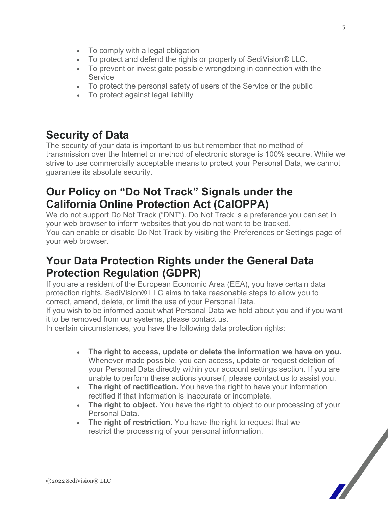- To comply with a legal obligation
- To protect and defend the rights or property of SediVision® LLC.
- To prevent or investigate possible wrongdoing in connection with the **Service**
- To protect the personal safety of users of the Service or the public
- To protect against legal liability

### **Security of Data**

The security of your data is important to us but remember that no method of transmission over the Internet or method of electronic storage is 100% secure. While we strive to use commercially acceptable means to protect your Personal Data, we cannot guarantee its absolute security.

### **Our Policy on "Do Not Track" Signals under the California Online Protection Act (CalOPPA)**

We do not support Do Not Track ("DNT"). Do Not Track is a preference you can set in your web browser to inform websites that you do not want to be tracked. You can enable or disable Do Not Track by visiting the Preferences or Settings page of your web browser.

### **Your Data Protection Rights under the General Data Protection Regulation (GDPR)**

If you are a resident of the European Economic Area (EEA), you have certain data protection rights. SediVision® LLC aims to take reasonable steps to allow you to correct, amend, delete, or limit the use of your Personal Data.

If you wish to be informed about what Personal Data we hold about you and if you want it to be removed from our systems, please contact us.

In certain circumstances, you have the following data protection rights:

- **The right to access, update or delete the information we have on you.** Whenever made possible, you can access, update or request deletion of your Personal Data directly within your account settings section. If you are unable to perform these actions yourself, please contact us to assist you.
- **The right of rectification.** You have the right to have your information rectified if that information is inaccurate or incomplete.
- **The right to object.** You have the right to object to our processing of your Personal Data.
- **The right of restriction.** You have the right to request that we restrict the processing of your personal information.

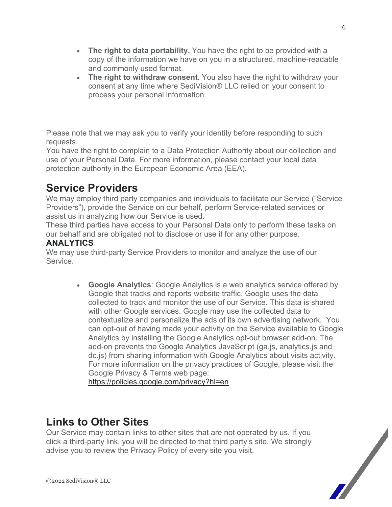- **The right to data portability.** You have the right to be provided with a copy of the information we have on you in a structured, machine-readable and commonly used format.
- **The right to withdraw consent.** You also have the right to withdraw your consent at any time where SediVision® LLC relied on your consent to process your personal information.

Please note that we may ask you to verify your identity before responding to such requests.

You have the right to complain to a Data Protection Authority about our collection and use of your Personal Data. For more information, please contact your local data protection authority in the European Economic Area (EEA).

# **Service Providers**

We may employ third party companies and individuals to facilitate our Service ("Service Providers"), provide the Service on our behalf, perform Service-related services or assist us in analyzing how our Service is used.

These third parties have access to your Personal Data only to perform these tasks on our behalf and are obligated not to disclose or use it for any other purpose.

### **ANALYTICS**

We may use third-party Service Providers to monitor and analyze the use of our Service.

> • **Google Analytics**: Google Analytics is a web analytics service offered by Google that tracks and reports website traffic. Google uses the data collected to track and monitor the use of our Service. This data is shared with other Google services. Google may use the collected data to contextualize and personalize the ads of its own advertising network. You can opt-out of having made your activity on the Service available to Google Analytics by installing the Google Analytics opt-out browser add-on. The add-on prevents the Google Analytics JavaScript (ga.js, analytics.js and dc.js) from sharing information with Google Analytics about visits activity. For more information on the privacy practices of Google, please visit the Google Privacy & Terms web page:

<https://policies.google.com/privacy?hl=en>

## **Links to Other Sites**

Our Service may contain links to other sites that are not operated by us. If you click a third-party link, you will be directed to that third party's site. We strongly advise you to review the Privacy Policy of every site you visit.



6